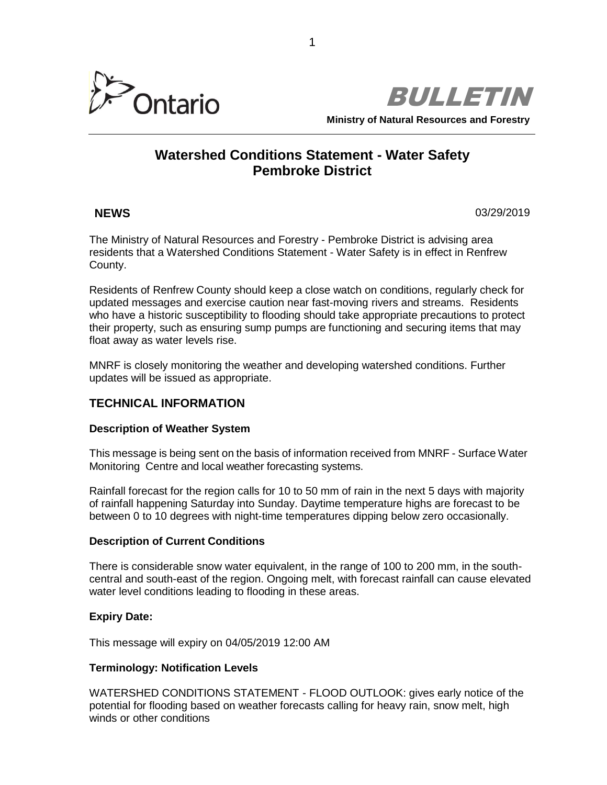



# **Watershed Conditions Statement - Water Safety Pembroke District**

**NEWS** 03/29/2019

The Ministry of Natural Resources and Forestry - Pembroke District is advising area residents that a Watershed Conditions Statement - Water Safety is in effect in Renfrew County.

Residents of Renfrew County should keep a close watch on conditions, regularly check for updated messages and exercise caution near fast-moving rivers and streams. Residents who have a historic susceptibility to flooding should take appropriate precautions to protect their property, such as ensuring sump pumps are functioning and securing items that may float away as water levels rise.

MNRF is closely monitoring the weather and developing watershed conditions. Further updates will be issued as appropriate.

# **TECHNICAL INFORMATION**

## **Description of Weather System**

This message is being sent on the basis of information received from MNRF - Surface Water Monitoring Centre and local weather forecasting systems.

Rainfall forecast for the region calls for 10 to 50 mm of rain in the next 5 days with majority of rainfall happening Saturday into Sunday. Daytime temperature highs are forecast to be between 0 to 10 degrees with night-time temperatures dipping below zero occasionally.

## **Description of Current Conditions**

There is considerable snow water equivalent, in the range of 100 to 200 mm, in the southcentral and south-east of the region. Ongoing melt, with forecast rainfall can cause elevated water level conditions leading to flooding in these areas.

## **Expiry Date:**

This message will expiry on 04/05/2019 12:00 AM

## **Terminology: Notification Levels**

WATERSHED CONDITIONS STATEMENT - FLOOD OUTLOOK: gives early notice of the potential for flooding based on weather forecasts calling for heavy rain, snow melt, high winds or other conditions

1